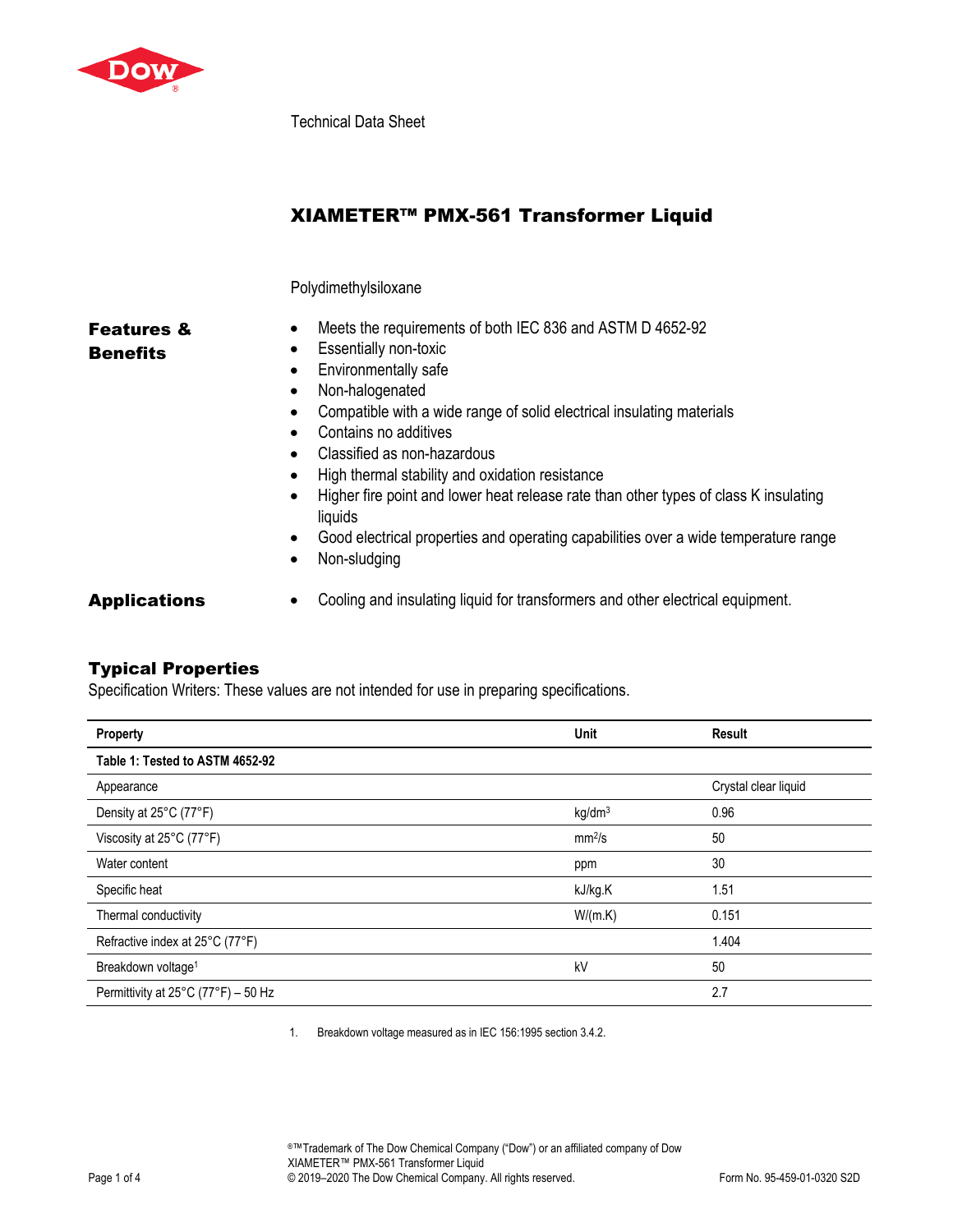

Technical Data Sheet

# XIAMETER™ PMX-561 Transformer Liquid

#### Polydimethylsiloxane

## Features & **Benefits**

#### • Meets the requirements of both IEC 836 and ASTM D 4652-92

- Essentially non-toxic
- Environmentally safe
- Non-halogenated
- Compatible with a wide range of solid electrical insulating materials
- Contains no additives
- Classified as non-hazardous
- High thermal stability and oxidation resistance
- Higher fire point and lower heat release rate than other types of class K insulating liquids
- Good electrical properties and operating capabilities over a wide temperature range
- Non-sludging

Applications • Cooling and insulating liquid for transformers and other electrical equipment.

### Typical Properties

Specification Writers: These values are not intended for use in preparing specifications.

| Property                            | Unit               | Result               |
|-------------------------------------|--------------------|----------------------|
| Table 1: Tested to ASTM 4652-92     |                    |                      |
| Appearance                          |                    | Crystal clear liquid |
| Density at 25°C (77°F)              | kg/dm <sup>3</sup> | 0.96                 |
| Viscosity at 25°C (77°F)            | mm <sup>2</sup> /s | 50                   |
| Water content                       | ppm                | 30                   |
| Specific heat                       | kJ/kg.K            | 1.51                 |
| Thermal conductivity                | W/(m.K)            | 0.151                |
| Refractive index at 25°C (77°F)     |                    | 1.404                |
| Breakdown voltage <sup>1</sup>      | kV                 | 50                   |
| Permittivity at 25°C (77°F) - 50 Hz |                    | 2.7                  |

1. Breakdown voltage measured as in IEC 156:1995 section 3.4.2.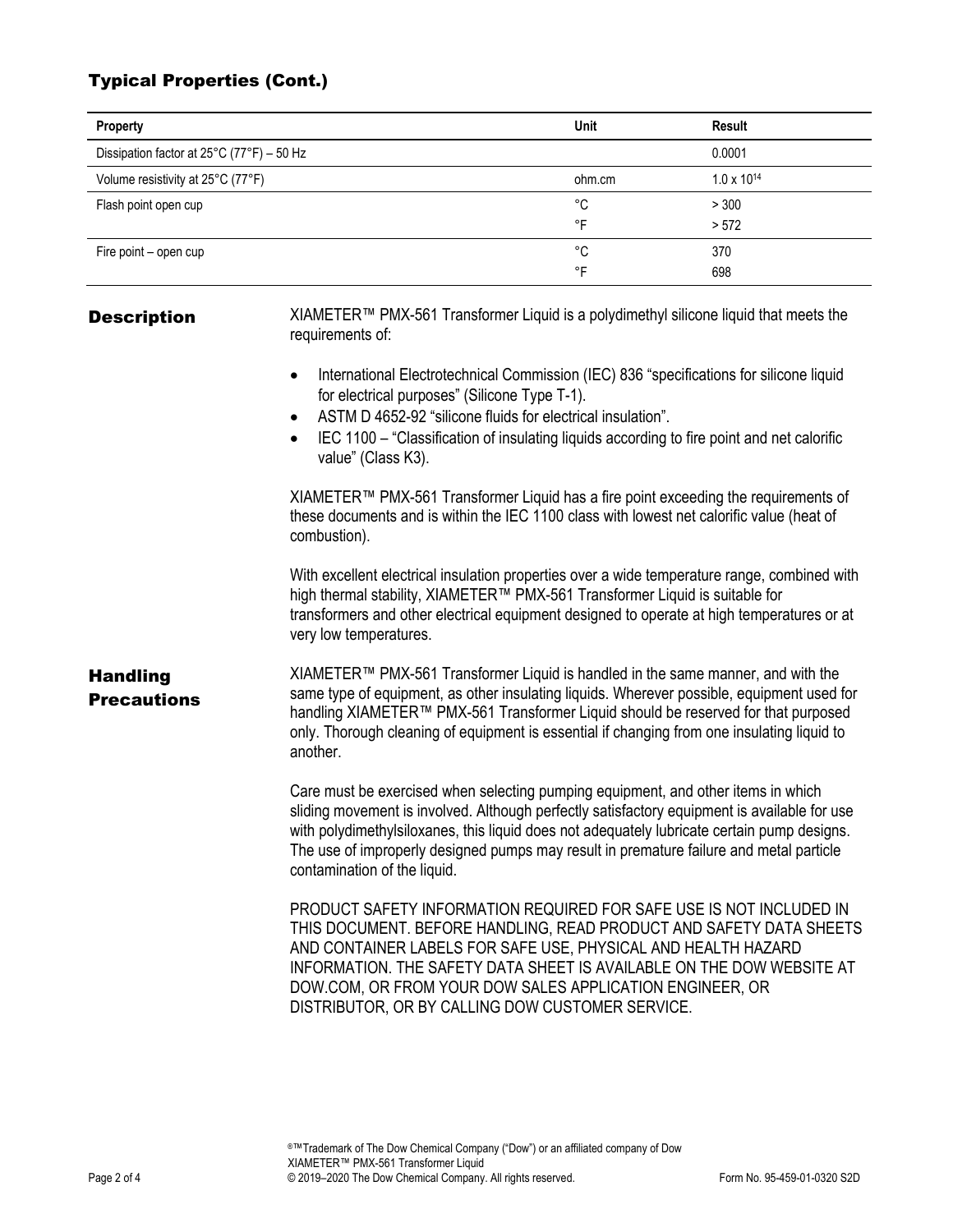## Typical Properties (Cont.)

| Property                                  | Unit               | Result               |
|-------------------------------------------|--------------------|----------------------|
| Dissipation factor at 25°C (77°F) - 50 Hz |                    | 0.0001               |
| Volume resistivity at 25°C (77°F)         | ohm.cm             | $1.0 \times 10^{14}$ |
| Flash point open cup                      | °C                 | > 300                |
|                                           | ∘⊏                 | > 572                |
| Fire point – open cup                     | °C                 | 370                  |
|                                           | $\circ \mathsf{F}$ | 698                  |

**Description** XIAMETER™ PMX-561 Transformer Liquid is a polydimethyl silicone liquid that meets the requirements of:

- International Electrotechnical Commission (IEC) 836 "specifications for silicone liquid for electrical purposes" (Silicone Type T-1).
- ASTM D 4652-92 "silicone fluids for electrical insulation".
- IEC 1100 "Classification of insulating liquids according to fire point and net calorific value" (Class K3).

XIAMETER™ PMX-561 Transformer Liquid has a fire point exceeding the requirements of these documents and is within the IEC 1100 class with lowest net calorific value (heat of combustion).

With excellent electrical insulation properties over a wide temperature range, combined with high thermal stability, XIAMETER™ PMX-561 Transformer Liquid is suitable for transformers and other electrical equipment designed to operate at high temperatures or at very low temperatures.

### Handling **Precautions**

XIAMETER™ PMX-561 Transformer Liquid is handled in the same manner, and with the same type of equipment, as other insulating liquids. Wherever possible, equipment used for handling XIAMETER™ PMX-561 Transformer Liquid should be reserved for that purposed only. Thorough cleaning of equipment is essential if changing from one insulating liquid to another.

Care must be exercised when selecting pumping equipment, and other items in which sliding movement is involved. Although perfectly satisfactory equipment is available for use with polydimethylsiloxanes, this liquid does not adequately lubricate certain pump designs. The use of improperly designed pumps may result in premature failure and metal particle contamination of the liquid.

PRODUCT SAFETY INFORMATION REQUIRED FOR SAFE USE IS NOT INCLUDED IN THIS DOCUMENT. BEFORE HANDLING, READ PRODUCT AND SAFETY DATA SHEETS AND CONTAINER LABELS FOR SAFE USE, PHYSICAL AND HEALTH HAZARD INFORMATION. THE SAFETY DATA SHEET IS AVAILABLE ON THE DOW WEBSITE AT DOW.COM, OR FROM YOUR DOW SALES APPLICATION ENGINEER, OR DISTRIBUTOR, OR BY CALLING DOW CUSTOMER SERVICE.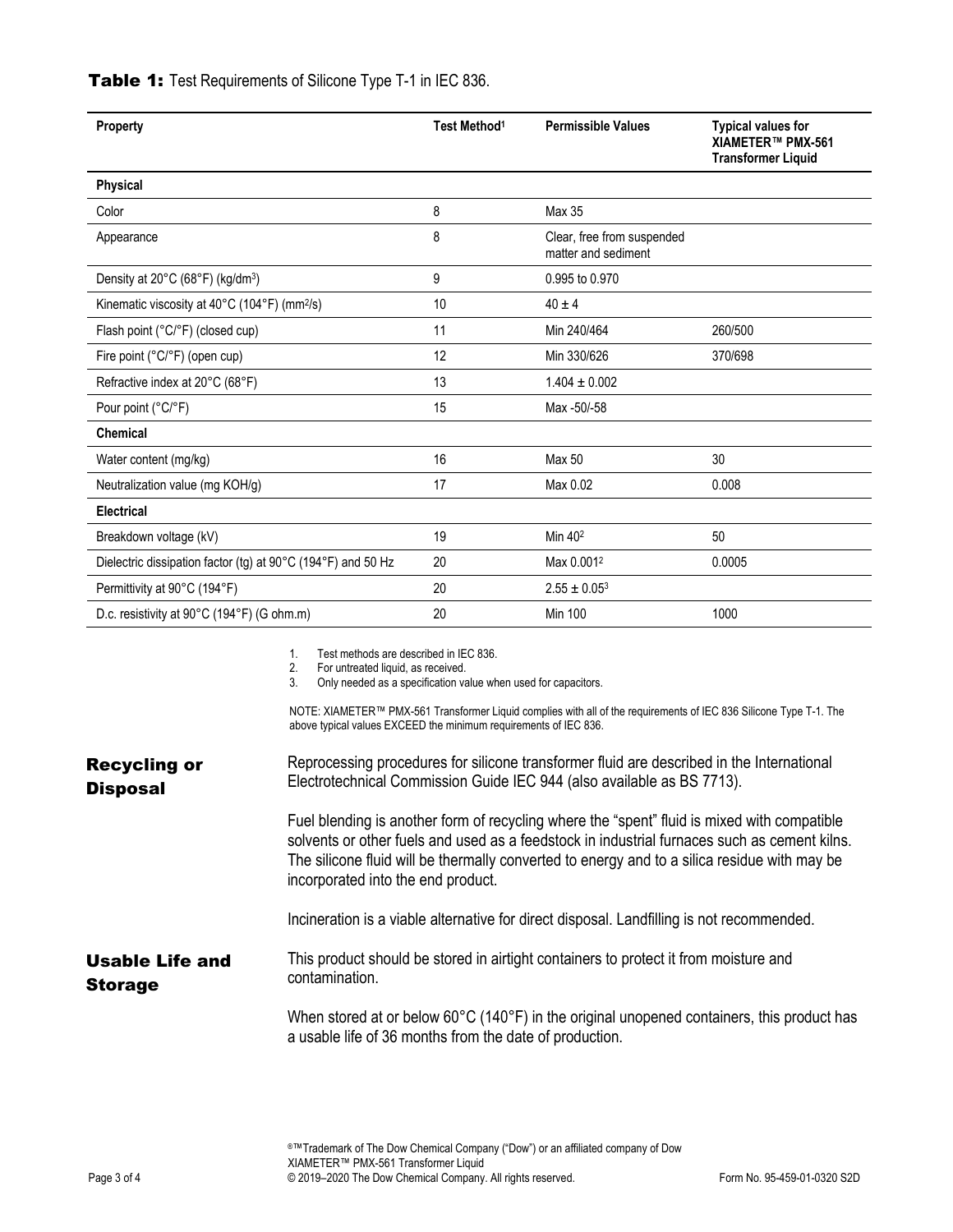| Property                                                     | Test Method <sup>1</sup> | <b>Permissible Values</b>                         | <b>Typical values for</b><br>XIAMETER™ PMX-561<br><b>Transformer Liquid</b> |
|--------------------------------------------------------------|--------------------------|---------------------------------------------------|-----------------------------------------------------------------------------|
| Physical                                                     |                          |                                                   |                                                                             |
| Color                                                        | 8                        | Max 35                                            |                                                                             |
| Appearance                                                   | 8                        | Clear, free from suspended<br>matter and sediment |                                                                             |
| Density at 20°C (68°F) (kg/dm <sup>3</sup> )                 | 9                        | 0.995 to 0.970                                    |                                                                             |
| Kinematic viscosity at 40°C (104°F) (mm <sup>2</sup> /s)     | 10                       | $40 \pm 4$                                        |                                                                             |
| Flash point (°C/°F) (closed cup)                             | 11                       | Min 240/464                                       | 260/500                                                                     |
| Fire point (°C/°F) (open cup)                                | 12                       | Min 330/626                                       | 370/698                                                                     |
| Refractive index at 20°C (68°F)                              | 13                       | $1.404 \pm 0.002$                                 |                                                                             |
| Pour point (°C/°F)                                           | 15                       | Max -50/-58                                       |                                                                             |
| <b>Chemical</b>                                              |                          |                                                   |                                                                             |
| Water content (mg/kg)                                        | 16                       | Max 50                                            | 30                                                                          |
| Neutralization value (mg KOH/g)                              | 17                       | Max 0.02                                          | 0.008                                                                       |
| <b>Electrical</b>                                            |                          |                                                   |                                                                             |
| Breakdown voltage (kV)                                       | 19                       | Min 40 <sup>2</sup>                               | 50                                                                          |
| Dielectric dissipation factor (tg) at 90°C (194°F) and 50 Hz | 20                       | Max 0.001 <sup>2</sup>                            | 0.0005                                                                      |
| Permittivity at 90°C (194°F)                                 | 20                       | $2.55 \pm 0.05^3$                                 |                                                                             |
| D.c. resistivity at 90°C (194°F) (G ohm.m)                   | 20                       | <b>Min 100</b>                                    | 1000                                                                        |

### Table 1: Test Requirements of Silicone Type T-1 in IEC 836.

1. Test methods are described in IEC 836.<br>2. For untreated liquid, as received.

2. For untreated liquid, as received.<br>3. Only needed as a specification va

Only needed as a specification value when used for capacitors.

NOTE: XIAMETER™ PMX-561 Transformer Liquid complies with all of the requirements of IEC 836 Silicone Type T-1. The above typical values EXCEED the minimum requirements of IEC 836.

| <b>Recycling or</b><br><b>Disposal</b> | Reprocessing procedures for silicone transformer fluid are described in the International<br>Electrotechnical Commission Guide IEC 944 (also available as BS 7713).                                                                                                                                                               |  |  |
|----------------------------------------|-----------------------------------------------------------------------------------------------------------------------------------------------------------------------------------------------------------------------------------------------------------------------------------------------------------------------------------|--|--|
|                                        | Fuel blending is another form of recycling where the "spent" fluid is mixed with compatible<br>solvents or other fuels and used as a feedstock in industrial furnaces such as cement kilns.<br>The silicone fluid will be thermally converted to energy and to a silica residue with may be<br>incorporated into the end product. |  |  |
|                                        | Incineration is a viable alternative for direct disposal. Landfilling is not recommended.                                                                                                                                                                                                                                         |  |  |
| Usable Life and<br><b>Storage</b>      | This product should be stored in airtight containers to protect it from moisture and<br>contamination.                                                                                                                                                                                                                            |  |  |
|                                        | When stored at or below 60°C (140°F) in the original unopened containers, this product has<br>a usable life of 36 months from the date of production.                                                                                                                                                                             |  |  |